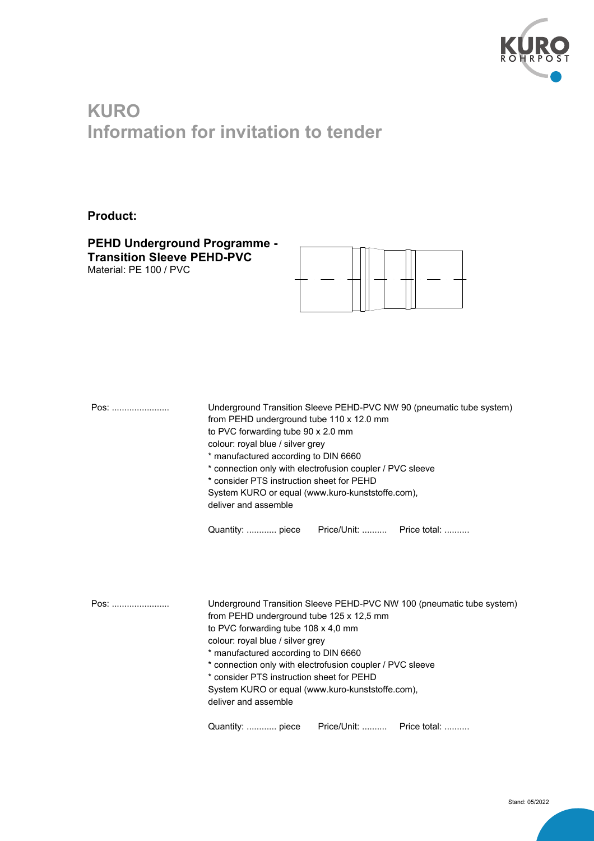

## **KURO Information for invitation to tender**

## **Product:**

**PEHD Underground Programme - Transition Sleeve PEHD-PVC**  Material: PE 100 / PVC



| Pos: | Underground Transition Sleeve PEHD-PVC NW 90 (pneumatic tube system)<br>from PEHD underground tube 110 x 12.0 mm<br>to PVC forwarding tube 90 x 2.0 mm<br>colour: royal blue / silver grey<br>* manufactured according to DIN 6660<br>* connection only with electrofusion coupler / PVC sleeve<br>* consider PTS instruction sheet for PEHD<br>System KURO or equal (www.kuro-kunststoffe.com), |
|------|--------------------------------------------------------------------------------------------------------------------------------------------------------------------------------------------------------------------------------------------------------------------------------------------------------------------------------------------------------------------------------------------------|
|      | deliver and assemble                                                                                                                                                                                                                                                                                                                                                                             |
|      | Price/Unit:  Price total:<br>Quantity:  piece                                                                                                                                                                                                                                                                                                                                                    |
|      |                                                                                                                                                                                                                                                                                                                                                                                                  |
|      |                                                                                                                                                                                                                                                                                                                                                                                                  |
| Pos: | Underground Transition Sleeve PEHD-PVC NW 100 (pneumatic tube system)<br>from PEHD underground tube 125 x 12,5 mm                                                                                                                                                                                                                                                                                |
|      | to PVC forwarding tube 108 x 4,0 mm<br>colour: royal blue / silver grey                                                                                                                                                                                                                                                                                                                          |
|      | * manufactured according to DIN 6660                                                                                                                                                                                                                                                                                                                                                             |
|      | * connection only with electrofusion coupler / PVC sleeve<br>* consider PTS instruction sheet for PEHD                                                                                                                                                                                                                                                                                           |
|      | System KURO or equal (www.kuro-kunststoffe.com),<br>deliver and assemble                                                                                                                                                                                                                                                                                                                         |
|      | Price/Unit:  Price total:<br>Quantity:  piece                                                                                                                                                                                                                                                                                                                                                    |